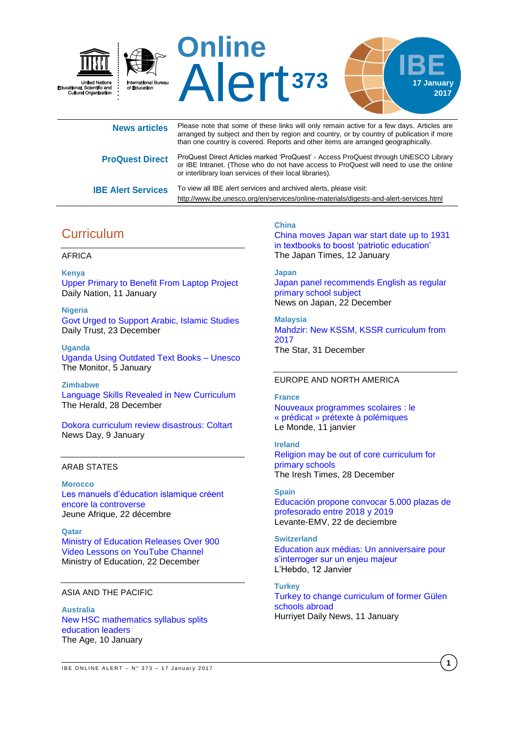

| <b>News articles</b>      | Please note that some of these links will only remain active for a few days. Articles are<br>arranged by subject and then by region and country, or by country of publication if more<br>than one country is covered. Reports and other items are arranged geographically. |
|---------------------------|----------------------------------------------------------------------------------------------------------------------------------------------------------------------------------------------------------------------------------------------------------------------------|
| <b>ProQuest Direct</b>    | ProQuest Direct Articles marked 'ProQuest' - Access ProQuest through UNESCO Library<br>or IBE Intranet. (Those who do not have access to ProQuest will need to use the online<br>or interlibrary loan services of their local libraries).                                  |
| <b>IBE Alert Services</b> | To view all IBE alert services and archived alerts, please visit:<br>http://www.ibe.unesco.org/en/services/online-materials/digests-and-alert-services.html                                                                                                                |

# **Curriculum**

#### AFRICA

**Kenya** [Upper Primary to Benefit From Laptop Project](http://allafrica.com/stories/201701110447.html) Daily Nation, 11 January

**Nigeria** [Govt Urged to Support Arabic, Islamic Studies](http://allafrica.com/stories/201612230391.html) Daily Trust, 23 December

**Uganda** [Uganda Using Outdated Text Books –](http://allafrica.com/stories/201701060317.html) Unesco The Monitor, 5 January

**Zimbabwe**

[Language Skills Revealed in New Curriculum](http://allafrica.com/stories/201612280086.html) The Herald, 28 December

[Dokora curriculum review disastrous: Coltart](https://www.newsday.co.zw/2017/01/09/dokora-curriculum-review-disastrous-coltart/) News Day, 9 January

## ARAB STATES

#### **Morocco**

[Les manuels d'éducation islamique créent](http://www.jeuneafrique.com/385947/politique/controverse-manuels-deducation-islamique-maroc-2/)  [encore la controverse](http://www.jeuneafrique.com/385947/politique/controverse-manuels-deducation-islamique-maroc-2/) Jeune Afrique, 22 décembre

**Qatar** [Ministry of Education Releases Over 900](http://www.edu.gov.qa/En/Media/News/Pages/NewsDetails.aspx?NewsID=4055)  [Video Lessons on YouTube Channel](http://www.edu.gov.qa/En/Media/News/Pages/NewsDetails.aspx?NewsID=4055) Ministry of Education, 22 December

### ASIA AND THE PACIFIC

**Australia** [New HSC mathematics syllabus splits](http://www.theage.com.au/national/education/new-hsc-mathematics-syllabus-splits-education-leaders-20170109-gto69c.html)  [education leaders](http://www.theage.com.au/national/education/new-hsc-mathematics-syllabus-splits-education-leaders-20170109-gto69c.html) The Age, 10 January

#### **China**

[China moves Japan war start date up to 1931](http://www.japantimes.co.jp/news/2017/01/12/national/history/china-moves-japan-war-start-date-1931-textbooks-boost-patriotic-education/#.WH0vyHd7SRY)  [in textbooks to boost 'patriotic education'](http://www.japantimes.co.jp/news/2017/01/12/national/history/china-moves-japan-war-start-date-1931-textbooks-boost-patriotic-education/#.WH0vyHd7SRY) The Japan Times, 12 January

## **Japan**

[Japan panel recommends English as regular](http://newsonjapan.com/html/newsdesk/article/118560.php)  [primary school subject](http://newsonjapan.com/html/newsdesk/article/118560.php)  News on Japan, 22 December

**Malaysia** [Mahdzir: New KSSM, KSSR curriculum from](http://www.thestar.com.my/news/nation/2016/12/31/mahdzir-new-kssm-kssr-curriculum-from-2017/)  [2017](http://www.thestar.com.my/news/nation/2016/12/31/mahdzir-new-kssm-kssr-curriculum-from-2017/) The Star, 31 December

#### EUROPE AND NORTH AMERICA

**France** [Nouveaux programmes scolaires : le](http://www.lemonde.fr/campus/article/2017/01/11/nouveaux-programmes-scolaires-le-predicat-pretexte-a-polemiques_5061158_4401467.html)  « prédicat [» prétexte à polémiques](http://www.lemonde.fr/campus/article/2017/01/11/nouveaux-programmes-scolaires-le-predicat-pretexte-a-polemiques_5061158_4401467.html) Le Monde, 11 janvier

**Ireland** [Religion may be out of core curriculum for](http://www.irishtimes.com/news/education/religion-may-be-out-of-core-curriculum-for-primary-schools-1.2918634)  [primary schools](http://www.irishtimes.com/news/education/religion-may-be-out-of-core-curriculum-for-primary-schools-1.2918634) The Iresh Times, 28 December

### **Spain**

[Educación propone convocar 5.000 plazas de](http://www.levante-emv.com/comunitat-valenciana/2016/12/22/educacion-propone-convocar-5000-plazas/1507594.html)  [profesorado entre 2018 y 2019](http://www.levante-emv.com/comunitat-valenciana/2016/12/22/educacion-propone-convocar-5000-plazas/1507594.html) Levante-EMV, 22 de deciembre

# **Switzerland**

[Education aux médias: Un anniversaire pour](http://www.hebdo.ch/hebdo/id%C3%A9es-d%C3%A9bats/detail/education-aux-m%C3%A9dias-un-anniversaire-pour-s%E2%80%99interroger-sur-un-enjeu-majeur)  [s'interroger sur un enjeu majeur](http://www.hebdo.ch/hebdo/id%C3%A9es-d%C3%A9bats/detail/education-aux-m%C3%A9dias-un-anniversaire-pour-s%E2%80%99interroger-sur-un-enjeu-majeur) L'Hebdo, 12 Janvier

**Turkey** [Turkey to change curriculum of former Gülen](http://www.hurriyetdailynews.com/turkey-to-change-curriculum-of-former-gulen-schools-abroad.aspx?pageID=238&nID=108386&NewsCatID=341)  [schools abroad](http://www.hurriyetdailynews.com/turkey-to-change-curriculum-of-former-gulen-schools-abroad.aspx?pageID=238&nID=108386&NewsCatID=341) Hurriyet Daily News, 11 January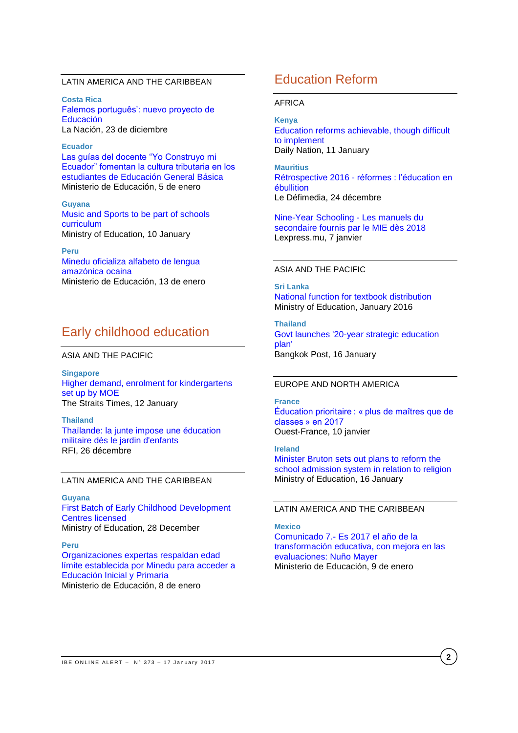### LATIN AMERICA AND THE CARIBBEAN

**Costa Rica** [Falemos português': nuevo proyecto de](http://www.nacion.com/nacional/educacion/Falemos-portugues-nuevo-proyecto-MEP_0_1605239466.html)  [Educación](http://www.nacion.com/nacional/educacion/Falemos-portugues-nuevo-proyecto-MEP_0_1605239466.html) La Nación, 23 de diciembre

**Ecuador** [Las guías del docente "Yo Construyo mi](https://educacion.gob.ec/las-guias-del-docente-yo-construyo-mi-ecuador-fomentan-la-cultura-tributaria-en-los-estudiantes-de-educacion-general-basica/)  [Ecuador" fomentan la cultura tributaria en los](https://educacion.gob.ec/las-guias-del-docente-yo-construyo-mi-ecuador-fomentan-la-cultura-tributaria-en-los-estudiantes-de-educacion-general-basica/)  [estudiantes de Educación General Básica](https://educacion.gob.ec/las-guias-del-docente-yo-construyo-mi-ecuador-fomentan-la-cultura-tributaria-en-los-estudiantes-de-educacion-general-basica/) Ministerio de Educación, 5 de enero

**Guyana** [Music and Sports to be part of schools](http://www.education.gov.gy/web/index.php/mediacenter/external-sources/item/2553-music-and-sports-to-be-part-of-schools-curriculum)  [curriculum](http://www.education.gov.gy/web/index.php/mediacenter/external-sources/item/2553-music-and-sports-to-be-part-of-schools-curriculum) Ministry of Education, 10 January

**Peru** [Minedu oficializa alfabeto de lengua](http://www.minedu.gob.pe/n/noticia.php?id=41405)  [amazónica ocaina](http://www.minedu.gob.pe/n/noticia.php?id=41405) Ministerio de Educación, 13 de enero

## Early childhood education

#### ASIA AND THE PACIFIC

**Singapore** [Higher demand, enrolment for kindergartens](http://www.straitstimes.com/singapore/education/higher-demand-enrolment-for-kindergartens-set-up-by-moe)  [set up by MOE](http://www.straitstimes.com/singapore/education/higher-demand-enrolment-for-kindergartens-set-up-by-moe) The Straits Times, 12 January

**Thailand** [Thaïlande: la junte impose une éducation](http://www.rfi.fr/asie-pacifique/20161226-thailande-junte-impose-education-militaire-jardin-enfants-valeurs-morales)  [militaire dès le jardin d'enfants](http://www.rfi.fr/asie-pacifique/20161226-thailande-junte-impose-education-militaire-jardin-enfants-valeurs-morales) RFI, 26 décembre

### LATIN AMERICA AND THE CARIBBEAN

#### **Guyana**

[First Batch of Early Childhood Development](http://www.education.gov.gy/web/index.php/mediacenter/external-sources/item/2532-first-batch-of-early-childhood-development-centres-licensed)  [Centres licensed](http://www.education.gov.gy/web/index.php/mediacenter/external-sources/item/2532-first-batch-of-early-childhood-development-centres-licensed) Ministry of Education, 28 December

#### **Peru**

[Organizaciones expertas respaldan edad](http://www.minedu.gob.pe/n/noticia.php?id=41352)  [límite establecida por Minedu para acceder a](http://www.minedu.gob.pe/n/noticia.php?id=41352)  [Educación Inicial y Primaria](http://www.minedu.gob.pe/n/noticia.php?id=41352) Ministerio de Educación, 8 de enero

## Education Reform

#### AFRICA

# **Kenya**

[Education reforms achievable, though difficult](http://www.nation.co.ke/oped/Opinion/Education-reforms-achievable--though-difficult-to-implement/440808-3512712-301xl4/index.html)  [to implement](http://www.nation.co.ke/oped/Opinion/Education-reforms-achievable--though-difficult-to-implement/440808-3512712-301xl4/index.html) Daily Nation, 11 January

 **2017**

**Mauritius** Rétrospective 2016 - [réformes : l'éducation en](http://defimedia.info/retrospective-2016-reformes-leducation-en-ebullition)  **[ébullition](http://defimedia.info/retrospective-2016-reformes-leducation-en-ebullition)** Le Défimedia, 24 décembre

[Nine-Year Schooling](http://fr.allafrica.com/stories/201701070261.html) - Les manuels du [secondaire fournis par le MIE dès 2018](http://fr.allafrica.com/stories/201701070261.html) Lexpress.mu, 7 janvier

#### ASIA AND THE PACIFIC

**Sri Lanka** [National function for textbook distribution](http://www.moe.gov.lk/english/index.php?option=com_content&view=article&id=1663:national-function-for-textbook-distribution&catid=344:latest-news&Itemid=771) Ministry of Education, January 2016

**Thailand** [Govt launches '20-year strategic education](http://www.bangkokpost.com/news/general/1180769/govt-launches-20-year-strategic-education-plan)  [plan'](http://www.bangkokpost.com/news/general/1180769/govt-launches-20-year-strategic-education-plan)  Bangkok Post, 16 January

#### EUROPE AND NORTH AMERICA

#### **France**

[Éducation prioritaire : « plus de maîtres que de](http://www.ouest-france.fr/education/education-prioritaire-plus-de-maitres-que-de-classes-en-2017-4726216)  [classes » en 2017](http://www.ouest-france.fr/education/education-prioritaire-plus-de-maitres-que-de-classes-en-2017-4726216) Ouest-France, 10 janvier

**Ireland** [Minister Bruton sets out plans to reform the](http://www.education.ie/en/Press-Events/Press-Releases/2017-Press-Releases/PR17-16-01.html)  [school admission system in relation to religion](http://www.education.ie/en/Press-Events/Press-Releases/2017-Press-Releases/PR17-16-01.html) Ministry of Education, 16 January

## LATIN AMERICA AND THE CARIBBEAN

#### **Mexico**

Comunicado 7.- [Es 2017 el año de la](http://www.gob.mx/sep/prensa/comunicado-6-es-2017-el-ano-de-la-transformacion-educativa-con-mejora-en-las-evaluaciones-nuno-mayer?idiom=es)  [transformación educativa, con mejora en las](http://www.gob.mx/sep/prensa/comunicado-6-es-2017-el-ano-de-la-transformacion-educativa-con-mejora-en-las-evaluaciones-nuno-mayer?idiom=es)  [evaluaciones: Nuño Mayer](http://www.gob.mx/sep/prensa/comunicado-6-es-2017-el-ano-de-la-transformacion-educativa-con-mejora-en-las-evaluaciones-nuno-mayer?idiom=es) Ministerio de Educación, 9 de enero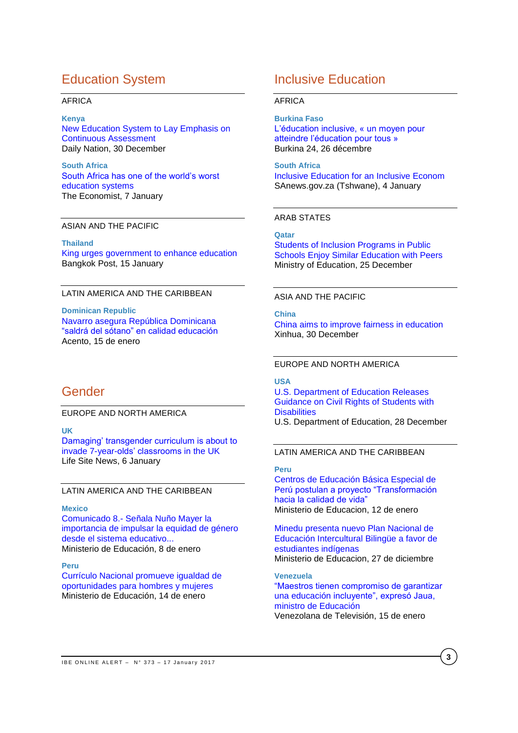# Education System

#### AFRICA

**Kenya**

[New Education System to Lay Emphasis on](http://allafrica.com/stories/201612300079.html)  [Continuous Assessment](http://allafrica.com/stories/201612300079.html) Daily Nation, 30 December

**South Africa** [South Africa has one of the world's worst](http://www.economist.com/news/middle-east-and-africa/21713858-why-it-bottom-class-south-africa-has-one-worlds-worst-education)  [education systems](http://www.economist.com/news/middle-east-and-africa/21713858-why-it-bottom-class-south-africa-has-one-worlds-worst-education) The Economist, 7 January

## ASIAN AND THE PACIFIC

**Thailand**

[King urges government to enhance education](http://www.bangkokpost.com/news/general/1180169/king-urges-government-to-enhance-education) Bangkok Post, 15 January

#### LATIN AMERICA AND THE CARIBBEAN

**Dominican Republic** Navarro asegura [República Dominicana](http://acento.com.do/2017/actualidad/8419340-navarro-asegura-republica-dominicana-saldra-del-sotano-calidad-educacion/)  ["saldrá del sótano" en calidad educación](http://acento.com.do/2017/actualidad/8419340-navarro-asegura-republica-dominicana-saldra-del-sotano-calidad-educacion/) Acento, 15 de enero

## Gender

EUROPE AND NORTH AMERICA

**UK**

[Damaging' transgender curriculum is about to](https://www.lifesitenews.com/news/uk-children-starting-at-age-7-will-study-reading-writing-gender-transitioni)  [invade 7-year-olds' classrooms in the UK](https://www.lifesitenews.com/news/uk-children-starting-at-age-7-will-study-reading-writing-gender-transitioni) Life Site News, 6 January

### LATIN AMERICA AND THE CARIBBEAN

#### **Mexico**

Comunicado 8.- [Señala Nuño Mayer la](http://www.gob.mx/sep/archivo/prensa?order=DESC&page=2)  [importancia de impulsar la equidad de género](http://www.gob.mx/sep/archivo/prensa?order=DESC&page=2)  [desde el sistema educativo...](http://www.gob.mx/sep/archivo/prensa?order=DESC&page=2) Ministerio de Educación, 8 de enero

#### **Peru**

[Currículo Nacional promueve igualdad de](http://www.minedu.gob.pe/n/noticia.php?id=41429)  [oportunidades para hombres y mujeres](http://www.minedu.gob.pe/n/noticia.php?id=41429) Ministerio de Educación, 14 de enero

## Inclusive Education

#### AFRICA

**Burkina Faso** [L'éducation inclusive, « un moyen pour](http://burkina24.com/2016/12/26/burkina-leducation-inclusive-un-moyen-pour-atteindre-leducation-pour-tous/)  [atteindre l'éducation pour tous »](http://burkina24.com/2016/12/26/burkina-leducation-inclusive-un-moyen-pour-atteindre-leducation-pour-tous/) Burkina 24, 26 décembre

**South Africa** [Inclusive Education for an Inclusive Econom](http://allafrica.com/stories/201701050201.html) SAnews.gov.za (Tshwane), 4 January

 **2017**

#### ARAB STATES

#### **Qatar**

Students [of Inclusion Programs in Public](http://www.edu.gov.qa/En/Media/News/Pages/NewsDetails.aspx?NewsID=4052)  [Schools Enjoy Similar Education with Peers](http://www.edu.gov.qa/En/Media/News/Pages/NewsDetails.aspx?NewsID=4052) Ministry of Education, 25 December

#### ASIA AND THE PACIFIC

**China**

[China aims to improve fairness in education](http://news.xinhuanet.com/english/2016-12/30/c_135945073.htm) Xinhua, 30 December

#### EUROPE AND NORTH AMERICA

#### **USA**

[U.S. Department of Education Releases](https://www.ed.gov/news/press-releases/us-department-education-releases-guidance-civil-rights-students-disabilities)  [Guidance on Civil Rights of Students with](https://www.ed.gov/news/press-releases/us-department-education-releases-guidance-civil-rights-students-disabilities)  **[Disabilities](https://www.ed.gov/news/press-releases/us-department-education-releases-guidance-civil-rights-students-disabilities)** U.S. Department of Education, 28 December

### LATIN AMERICA AND THE CARIBBEAN

**Peru**

[Centros de Educación Básica Especial de](http://www.minedu.gob.pe/n/noticia.php?id=41397)  [Perú postulan a proyecto "Transformación](http://www.minedu.gob.pe/n/noticia.php?id=41397)  [hacia la calidad de vida"](http://www.minedu.gob.pe/n/noticia.php?id=41397) Ministerio de Educacion, 12 de enero

[Minedu presenta nuevo Plan Nacional de](http://www.minedu.gob.pe/n/noticia.php?id=41273)  [Educación Intercultural Bilingüe a favor de](http://www.minedu.gob.pe/n/noticia.php?id=41273)  [estudiantes indígenas](http://www.minedu.gob.pe/n/noticia.php?id=41273) Ministerio de Educacion, 27 de diciembre

**Venezuela** ["Maestros tienen compromiso de garantizar](http://vtv.gob.ve/maestros-tienen-compromiso-de-garantizar-una-educacion-incluyente-expreso-jaua-ministro-de-educacion/)  [una educación incluyente", expresó Jaua,](http://vtv.gob.ve/maestros-tienen-compromiso-de-garantizar-una-educacion-incluyente-expreso-jaua-ministro-de-educacion/) 

[ministro de Educación](http://vtv.gob.ve/maestros-tienen-compromiso-de-garantizar-una-educacion-incluyente-expreso-jaua-ministro-de-educacion/) Venezolana de Televisión, 15 de enero

**3**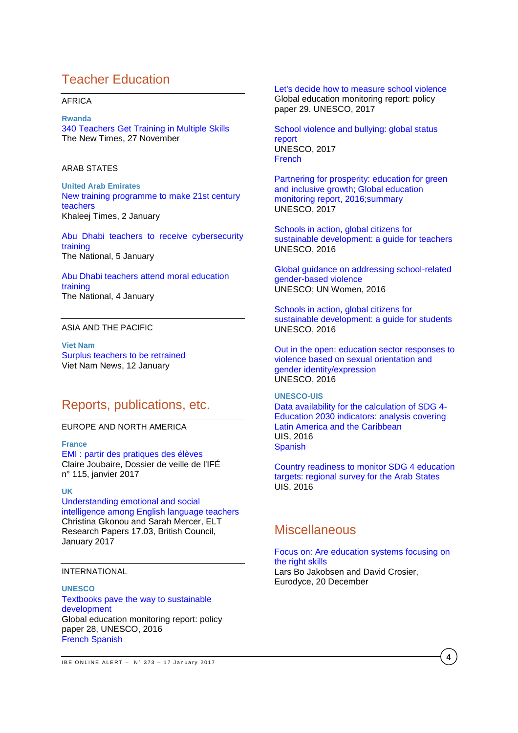# Teacher Education

#### AFRICA

#### **Rwanda**

[340 Teachers Get Training in Multiple Skills](http://allafrica.com/stories/201612270063.html) The New Times, 27 November

#### ARAB STATES

**United Arab Emirates** [New training programme to make 21st century](http://www.khaleejtimes.com/news/education/new-training-programme-to-make-21st-century-teachers)  [teachers](http://www.khaleejtimes.com/news/education/new-training-programme-to-make-21st-century-teachers) Khaleej Times, 2 January

[Abu Dhabi teachers to receive cybersecurity](http://www.thenational.ae/uae/education/abu-dhabi-teachers-to-receive-cybersecurity-training)  [training](http://www.thenational.ae/uae/education/abu-dhabi-teachers-to-receive-cybersecurity-training) The National, 5 January

[Abu Dhabi teachers attend moral education](http://www.thenational.ae/uae/education/abu-dhabi-teachers-attend-moral-education-training)  [training](http://www.thenational.ae/uae/education/abu-dhabi-teachers-attend-moral-education-training) The National, 4 January

## ASIA AND THE PACIFIC

**Viet Nam** [Surplus teachers to be retrained](http://vietnamnews.vn/society/349484/surplus-teachers-to-be-retrained.html#HYd7PcEC5GJD8puz.97) Viet Nam News, 12 January

## Reports, publications, etc.

## EUROPE AND NORTH AMERICA

**France**

[EMI : partir des pratiques des élèves](http://ife.ens-lyon.fr/vst/DA-Veille/115-janvier-2017.pdf) Claire Joubaire, Dossier de veille de l'IFÉ n° 115, janvier 2017

#### **UK**

[Understanding emotional and social](http://www.teachingenglish.org.uk/sites/teacheng/files/G211_ELTRA_Gkonou%20and%20Mercer%20paper_FINAL_web.pdf)  [intelligence among English language teachers](http://www.teachingenglish.org.uk/sites/teacheng/files/G211_ELTRA_Gkonou%20and%20Mercer%20paper_FINAL_web.pdf) Christina Gkonou and Sarah Mercer, ELT Research Papers 17.03, British Council, January 2017

### INTERNATIONAL

#### **UNESCO**

[Textbooks pave the way to sustainable](http://unesdoc.unesco.org/images/0024/002467/246777e.pdf)  [development](http://unesdoc.unesco.org/images/0024/002467/246777e.pdf) Global education monitoring report: policy paper 28, UNESCO, 2016 [French](http://unesdoc.unesco.org/images/0024/002467/246777f.pdf) [Spanish](http://unesdoc.unesco.org/images/0024/002467/246777s.pdf)

[Let's decide how to measure](http://unesdoc.unesco.org/images/0024/002469/246984e.pd) school violence

Global education monitoring report: policy paper 29. UNESCO, 2017

[School violence and bullying: global status](http://unesdoc.unesco.org/images/0024/002469/246970e.pdf)  [report](http://unesdoc.unesco.org/images/0024/002469/246970e.pdf) UNESCO, 2017 [French](http://unesdoc.unesco.org/images/0024/002469/246976f.pdf)

[Partnering for prosperity: education for green](http://unesdoc.unesco.org/images/0024/002469/246918e.pdf)  [and inclusive growth; Global education](http://unesdoc.unesco.org/images/0024/002469/246918e.pdf)  [monitoring report, 2016;summary](http://unesdoc.unesco.org/images/0024/002469/246918e.pdf) UNESCO, 2017

[Schools in action, global citizens for](http://unesdoc.unesco.org/images/0024/002468/246888e.pdf)  [sustainable development: a guide for teachers](http://unesdoc.unesco.org/images/0024/002468/246888e.pdf) UNESCO, 2016

[Global guidance on addressing school-related](http://unesdoc.unesco.org/images/0024/002466/246651e.pdf)  [gender-based violence](http://unesdoc.unesco.org/images/0024/002466/246651e.pdf) UNESCO; UN Women, 2016

[Schools in action, global citizens for](http://unesdoc.unesco.org/images/0024/002463/246352e.pdf)  [sustainable development: a guide](http://unesdoc.unesco.org/images/0024/002463/246352e.pdf) for students UNESCO, 2016

[Out in the open: education sector responses to](http://unesdoc.unesco.org/images/0024/002447/244756e.pdf)  [violence based on sexual orientation and](http://unesdoc.unesco.org/images/0024/002447/244756e.pdf)  [gender identity/expression](http://unesdoc.unesco.org/images/0024/002447/244756e.pdf) UNESCO, 2016

## **UNESCO-UIS**

[Data availability for the calculation of SDG 4-](http://unesdoc.unesco.org/images/0024/002462/246263e.pdf) [Education 2030 indicators: analysis covering](http://unesdoc.unesco.org/images/0024/002462/246263e.pdf)  [Latin America and the Caribbean](http://unesdoc.unesco.org/images/0024/002462/246263e.pdf) UIS, 2016 **[Spanish](http://unesdoc.unesco.org/images/0024/002447/244756e.pdf)** 

[Country readiness to monitor SDG 4 education](http://unesdoc.unesco.org/images/0024/002461/246144e.pdf)  [targets: regional survey for the Arab States](http://unesdoc.unesco.org/images/0024/002461/246144e.pdf) UIS, 2016

## **Miscellaneous**

### [Focus on: Are education systems focusing on](https://webgate.ec.europa.eu/fpfis/mwikis/eurydice/index.php/Publications:Focus_on:_Are_education_systems_focusing_on_developing_the_right_skills_at_school_and_universities)  [the right skills](https://webgate.ec.europa.eu/fpfis/mwikis/eurydice/index.php/Publications:Focus_on:_Are_education_systems_focusing_on_developing_the_right_skills_at_school_and_universities)

Lars Bo Jakobsen and David Crosier, Eurodyce, 20 December

IBE ONLINE ALERT -  $N^{\circ}$  373 - 17 January 2017

**4**